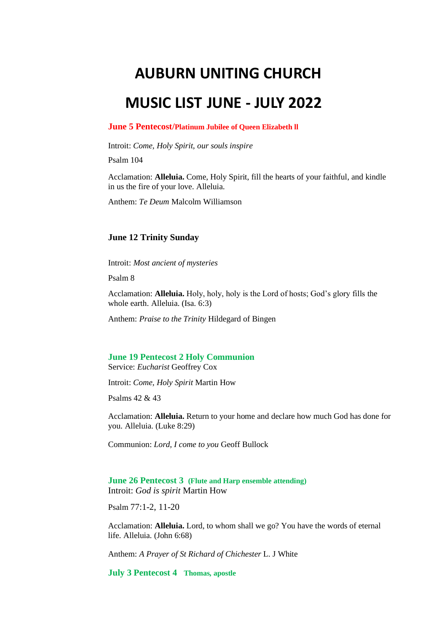# **AUBURN UNITING CHURCH**

## **MUSIC LIST JUNE - JULY 2022**

#### **June 5 Pentecost/Platinum Jubilee of Queen Elizabeth ll**

Introit: *Come, Holy Spirit, our souls inspire* 

Psalm 104

Acclamation: **Alleluia.** Come, Holy Spirit, fill the hearts of your faithful, and kindle in us the fire of your love. Alleluia.

Anthem: *Te Deum* Malcolm Williamson

#### **June 12 Trinity Sunday**

Introit: *Most ancient of mysteries*

Psalm 8

Acclamation: **Alleluia.** Holy, holy, holy is the Lord of hosts; God's glory fills the whole earth. Alleluia. (Isa. 6:3)

Anthem: *Praise to the Trinity* Hildegard of Bingen

#### **June 19 Pentecost 2 Holy Communion**

Service: *Eucharist* Geoffrey Cox

Introit: *Come, Holy Spirit* Martin How

Psalms 42 & 43

Acclamation: **Alleluia.** Return to your home and declare how much God has done for you. Alleluia. (Luke 8:29)

Communion: *Lord, I come to you* Geoff Bullock

**June 26 Pentecost 3 (Flute and Harp ensemble attending)** Introit: *God is spirit* Martin How

Psalm 77:1-2, 11-20

Acclamation: **Alleluia.** Lord, to whom shall we go? You have the words of eternal life. Alleluia. (John 6:68)

Anthem: *A Prayer of St Richard of Chichester* L. J White

**July 3 Pentecost 4 Thomas, apostle**